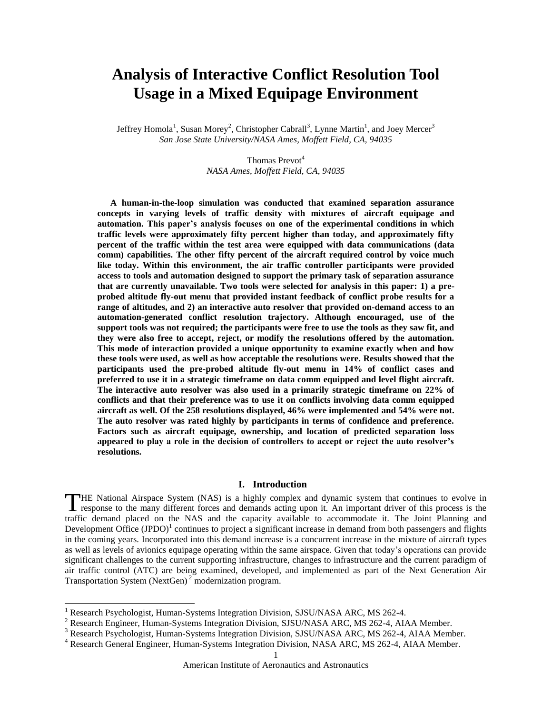# **Analysis of Interactive Conflict Resolution Tool Usage in a Mixed Equipage Environment**

Jeffrey Homola<sup>1</sup>, Susan Morey<sup>2</sup>, Christopher Cabrall<sup>3</sup>, Lynne Martin<sup>1</sup>, and Joey Mercer<sup>3</sup> *San Jose State University/NASA Ames, Moffett Field, CA, 94035*

> Thomas Prevot<sup>4</sup> *NASA Ames, Moffett Field, CA, 94035*

**A human-in-the-loop simulation was conducted that examined separation assurance concepts in varying levels of traffic density with mixtures of aircraft equipage and automation. This paper's analysis focuses on one of the experimental conditions in which traffic levels were approximately fifty percent higher than today, and approximately fifty percent of the traffic within the test area were equipped with data communications (data comm) capabilities. The other fifty percent of the aircraft required control by voice much like today. Within this environment, the air traffic controller participants were provided access to tools and automation designed to support the primary task of separation assurance that are currently unavailable. Two tools were selected for analysis in this paper: 1) a preprobed altitude fly-out menu that provided instant feedback of conflict probe results for a range of altitudes, and 2) an interactive auto resolver that provided on-demand access to an automation-generated conflict resolution trajectory. Although encouraged, use of the support tools was not required; the participants were free to use the tools as they saw fit, and they were also free to accept, reject, or modify the resolutions offered by the automation. This mode of interaction provided a unique opportunity to examine exactly when and how these tools were used, as well as how acceptable the resolutions were. Results showed that the participants used the pre-probed altitude fly-out menu in 14% of conflict cases and preferred to use it in a strategic timeframe on data comm equipped and level flight aircraft. The interactive auto resolver was also used in a primarily strategic timeframe on 22% of conflicts and that their preference was to use it on conflicts involving data comm equipped aircraft as well. Of the 258 resolutions displayed, 46% were implemented and 54% were not. The auto resolver was rated highly by participants in terms of confidence and preference. Factors such as aircraft equipage, ownership, and location of predicted separation loss appeared to play a role in the decision of controllers to accept or reject the auto resolver's resolutions.**

# **I. Introduction**

HE National Airspace System (NAS) is a highly complex and dynamic system that continues to evolve in THE National Airspace System (NAS) is a highly complex and dynamic system that continues to evolve in response to the many different forces and demands acting upon it. An important driver of this process is the traffic demand placed on the NAS and the capacity available to accommodate it. The Joint Planning and Development Office  $(IPDO)^1$  continues to project a significant increase in demand from both passengers and flights in the coming years. Incorporated into this demand increase is a concurrent increase in the mixture of aircraft types as well as levels of avionics equipage operating within the same airspace. Given that today's operations can provide significant challenges to the current supporting infrastructure, changes to infrastructure and the current paradigm of air traffic control (ATC) are being examined, developed, and implemented as part of the Next Generation Air Transportation System (NextGen) <sup>2</sup> modernization program.

 $\overline{\phantom{a}}$ 

<sup>1</sup> Research Psychologist, Human-Systems Integration Division, SJSU/NASA ARC, MS 262-4.

<sup>&</sup>lt;sup>2</sup> Research Engineer, Human-Systems Integration Division, SJSU/NASA ARC, MS 262-4, AIAA Member.

<sup>&</sup>lt;sup>3</sup> Research Psychologist, Human-Systems Integration Division, SJSU/NASA ARC, MS 262-4, AIAA Member.

<sup>4</sup> Research General Engineer, Human-Systems Integration Division, NASA ARC, MS 262-4, AIAA Member.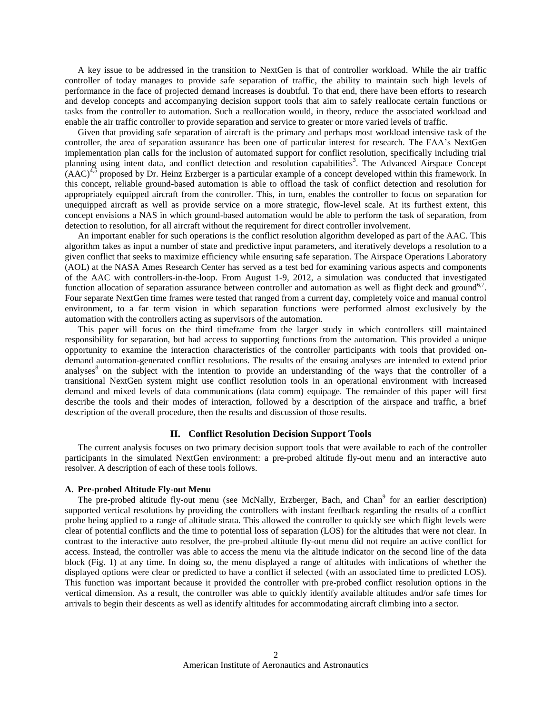A key issue to be addressed in the transition to NextGen is that of controller workload. While the air traffic controller of today manages to provide safe separation of traffic, the ability to maintain such high levels of performance in the face of projected demand increases is doubtful. To that end, there have been efforts to research and develop concepts and accompanying decision support tools that aim to safely reallocate certain functions or tasks from the controller to automation. Such a reallocation would, in theory, reduce the associated workload and enable the air traffic controller to provide separation and service to greater or more varied levels of traffic.

Given that providing safe separation of aircraft is the primary and perhaps most workload intensive task of the controller, the area of separation assurance has been one of particular interest for research. The FAA's NextGen implementation plan calls for the inclusion of automated support for conflict resolution, specifically including trial planning using intent data, and conflict detection and resolution capabilities<sup>3</sup>. The Advanced Airspace Concept  $(AAC)^{4,5}$  proposed by Dr. Heinz Erzberger is a particular example of a concept developed within this framework. In this concept, reliable ground-based automation is able to offload the task of conflict detection and resolution for appropriately equipped aircraft from the controller. This, in turn, enables the controller to focus on separation for unequipped aircraft as well as provide service on a more strategic, flow-level scale. At its furthest extent, this concept envisions a NAS in which ground-based automation would be able to perform the task of separation, from detection to resolution, for all aircraft without the requirement for direct controller involvement.

An important enabler for such operations is the conflict resolution algorithm developed as part of the AAC. This algorithm takes as input a number of state and predictive input parameters, and iteratively develops a resolution to a given conflict that seeks to maximize efficiency while ensuring safe separation. The Airspace Operations Laboratory (AOL) at the NASA Ames Research Center has served as a test bed for examining various aspects and components of the AAC with controllers-in-the-loop. From August 1-9, 2012, a simulation was conducted that investigated function allocation of separation assurance between controller and automation as well as flight deck and ground<sup>6,7</sup>. Four separate NextGen time frames were tested that ranged from a current day, completely voice and manual control environment, to a far term vision in which separation functions were performed almost exclusively by the automation with the controllers acting as supervisors of the automation.

This paper will focus on the third timeframe from the larger study in which controllers still maintained responsibility for separation, but had access to supporting functions from the automation. This provided a unique opportunity to examine the interaction characteristics of the controller participants with tools that provided ondemand automation-generated conflict resolutions. The results of the ensuing analyses are intended to extend prior analyses<sup>8</sup> on the subject with the intention to provide an understanding of the ways that the controller of a transitional NextGen system might use conflict resolution tools in an operational environment with increased demand and mixed levels of data communications (data comm) equipage. The remainder of this paper will first describe the tools and their modes of interaction, followed by a description of the airspace and traffic, a brief description of the overall procedure, then the results and discussion of those results.

# **II. Conflict Resolution Decision Support Tools**

The current analysis focuses on two primary decision support tools that were available to each of the controller participants in the simulated NextGen environment: a pre-probed altitude fly-out menu and an interactive auto resolver. A description of each of these tools follows.

### **A. Pre-probed Altitude Fly-out Menu**

The pre-probed altitude fly-out menu (see McNally, Erzberger, Bach, and Chan<sup>9</sup> for an earlier description) supported vertical resolutions by providing the controllers with instant feedback regarding the results of a conflict probe being applied to a range of altitude strata. This allowed the controller to quickly see which flight levels were clear of potential conflicts and the time to potential loss of separation (LOS) for the altitudes that were not clear. In contrast to the interactive auto resolver, the pre-probed altitude fly-out menu did not require an active conflict for access. Instead, the controller was able to access the menu via the altitude indicator on the second line of the data block (Fig. 1) at any time. In doing so, the menu displayed a range of altitudes with indications of whether the displayed options were clear or predicted to have a conflict if selected (with an associated time to predicted LOS). This function was important because it provided the controller with pre-probed conflict resolution options in the vertical dimension. As a result, the controller was able to quickly identify available altitudes and/or safe times for arrivals to begin their descents as well as identify altitudes for accommodating aircraft climbing into a sector.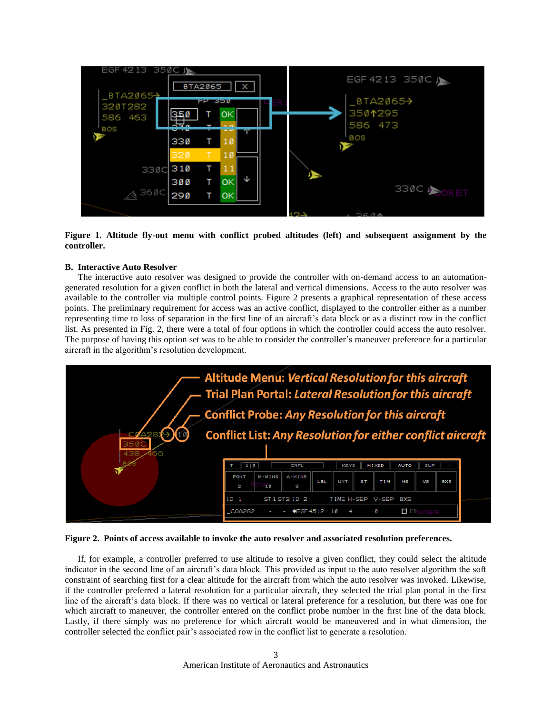

**Figure 1. Altitude fly-out menu with conflict probed altitudes (left) and subsequent assignment by the controller.**

# **B. Interactive Auto Resolver**

The interactive auto resolver was designed to provide the controller with on-demand access to an automationgenerated resolution for a given conflict in both the lateral and vertical dimensions. Access to the auto resolver was available to the controller via multiple control points. Figure 2 presents a graphical representation of these access points. The preliminary requirement for access was an active conflict, displayed to the controller either as a number representing time to loss of separation in the first line of an aircraft's data block or as a distinct row in the conflict list. As presented in Fig. 2, there were a total of four options in which the controller could access the auto resolver. The purpose of having this option set was to be able to consider the controller's maneuver preference for a particular aircraft in the algorithm's resolution development.



#### **Figure 2. Points of access available to invoke the auto resolver and associated resolution preferences.**

If, for example, a controller preferred to use altitude to resolve a given conflict, they could select the altitude indicator in the second line of an aircraft's data block. This provided as input to the auto resolver algorithm the soft constraint of searching first for a clear altitude for the aircraft from which the auto resolver was invoked. Likewise, if the controller preferred a lateral resolution for a particular aircraft, they selected the trial plan portal in the first line of the aircraft's data block. If there was no vertical or lateral preference for a resolution, but there was one for which aircraft to maneuver, the controller entered on the conflict probe number in the first line of the data block. Lastly, if there simply was no preference for which aircraft would be maneuvered and in what dimension, the controller selected the conflict pair's associated row in the conflict list to generate a resolution.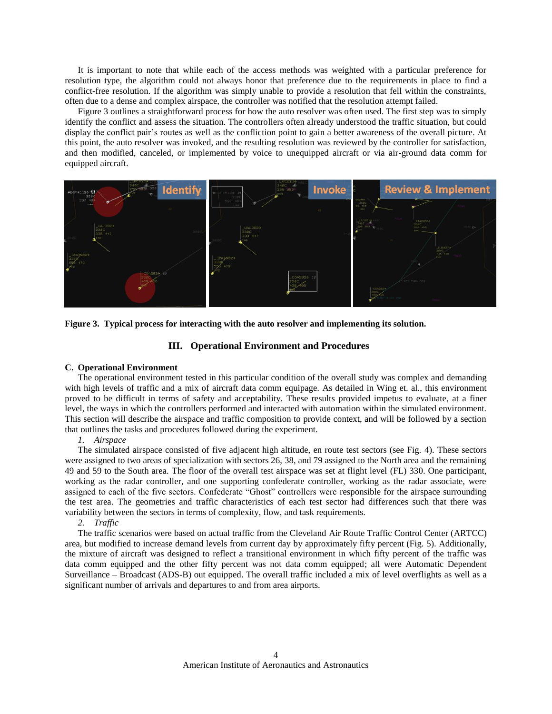It is important to note that while each of the access methods was weighted with a particular preference for resolution type, the algorithm could not always honor that preference due to the requirements in place to find a conflict-free resolution. If the algorithm was simply unable to provide a resolution that fell within the constraints, often due to a dense and complex airspace, the controller was notified that the resolution attempt failed.

Figure 3 outlines a straightforward process for how the auto resolver was often used. The first step was to simply identify the conflict and assess the situation. The controllers often already understood the traffic situation, but could display the conflict pair's routes as well as the confliction point to gain a better awareness of the overall picture. At this point, the auto resolver was invoked, and the resulting resolution was reviewed by the controller for satisfaction, and then modified, canceled, or implemented by voice to unequipped aircraft or via air-ground data comm for equipped aircraft.





# **III. Operational Environment and Procedures**

# **C. Operational Environment**

The operational environment tested in this particular condition of the overall study was complex and demanding with high levels of traffic and a mix of aircraft data comm equipage. As detailed in Wing et. al., this environment proved to be difficult in terms of safety and acceptability. These results provided impetus to evaluate, at a finer level, the ways in which the controllers performed and interacted with automation within the simulated environment. This section will describe the airspace and traffic composition to provide context, and will be followed by a section that outlines the tasks and procedures followed during the experiment.

## *1. Airspace*

The simulated airspace consisted of five adjacent high altitude, en route test sectors (see Fig. 4). These sectors were assigned to two areas of specialization with sectors 26, 38, and 79 assigned to the North area and the remaining 49 and 59 to the South area. The floor of the overall test airspace was set at flight level (FL) 330. One participant, working as the radar controller, and one supporting confederate controller, working as the radar associate, were assigned to each of the five sectors. Confederate "Ghost" controllers were responsible for the airspace surrounding the test area. The geometries and traffic characteristics of each test sector had differences such that there was variability between the sectors in terms of complexity, flow, and task requirements.

# *2. Traffic*

The traffic scenarios were based on actual traffic from the Cleveland Air Route Traffic Control Center (ARTCC) area, but modified to increase demand levels from current day by approximately fifty percent (Fig. 5). Additionally, the mixture of aircraft was designed to reflect a transitional environment in which fifty percent of the traffic was data comm equipped and the other fifty percent was not data comm equipped; all were Automatic Dependent Surveillance – Broadcast (ADS-B) out equipped. The overall traffic included a mix of level overflights as well as a significant number of arrivals and departures to and from area airports.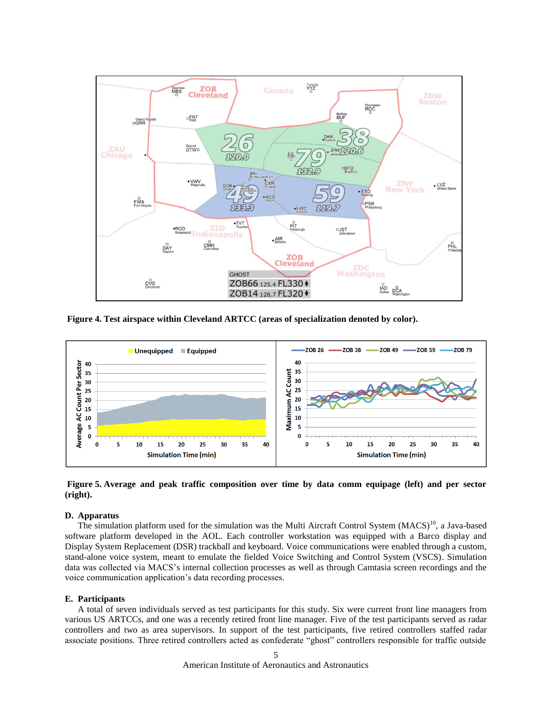

**Figure 4. Test airspace within Cleveland ARTCC (areas of specialization denoted by color).**



**Figure 5. Average and peak traffic composition over time by data comm equipage (left) and per sector (right).**

## **D. Apparatus**

The simulation platform used for the simulation was the Multi Aircraft Control System  $(MACS)^{10}$ , a Java-based software platform developed in the AOL. Each controller workstation was equipped with a Barco display and Display System Replacement (DSR) trackball and keyboard. Voice communications were enabled through a custom, stand-alone voice system, meant to emulate the fielded Voice Switching and Control System (VSCS). Simulation data was collected via MACS's internal collection processes as well as through Camtasia screen recordings and the voice communication application's data recording processes.

#### **E. Participants**

A total of seven individuals served as test participants for this study. Six were current front line managers from various US ARTCCs, and one was a recently retired front line manager. Five of the test participants served as radar controllers and two as area supervisors. In support of the test participants, five retired controllers staffed radar associate positions. Three retired controllers acted as confederate "ghost" controllers responsible for traffic outside

American Institute of Aeronautics and Astronautics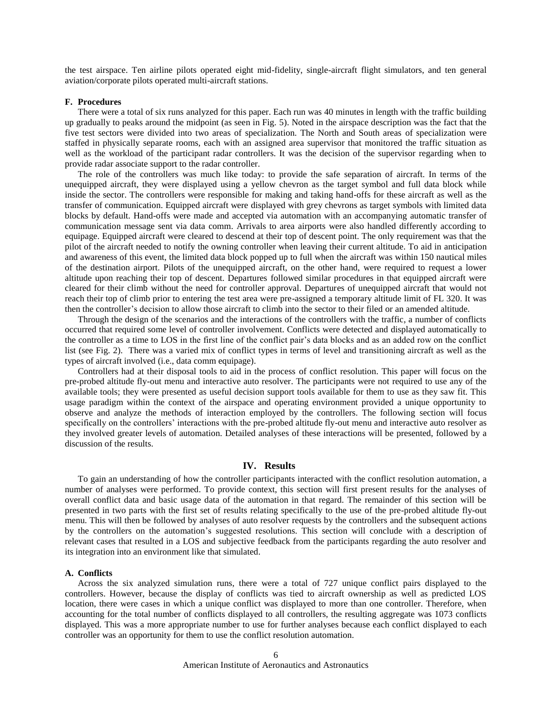the test airspace. Ten airline pilots operated eight mid-fidelity, single-aircraft flight simulators, and ten general aviation/corporate pilots operated multi-aircraft stations.

### **F. Procedures**

There were a total of six runs analyzed for this paper. Each run was 40 minutes in length with the traffic building up gradually to peaks around the midpoint (as seen in Fig. 5). Noted in the airspace description was the fact that the five test sectors were divided into two areas of specialization. The North and South areas of specialization were staffed in physically separate rooms, each with an assigned area supervisor that monitored the traffic situation as well as the workload of the participant radar controllers. It was the decision of the supervisor regarding when to provide radar associate support to the radar controller.

The role of the controllers was much like today: to provide the safe separation of aircraft. In terms of the unequipped aircraft, they were displayed using a yellow chevron as the target symbol and full data block while inside the sector. The controllers were responsible for making and taking hand-offs for these aircraft as well as the transfer of communication. Equipped aircraft were displayed with grey chevrons as target symbols with limited data blocks by default. Hand-offs were made and accepted via automation with an accompanying automatic transfer of communication message sent via data comm. Arrivals to area airports were also handled differently according to equipage. Equipped aircraft were cleared to descend at their top of descent point. The only requirement was that the pilot of the aircraft needed to notify the owning controller when leaving their current altitude. To aid in anticipation and awareness of this event, the limited data block popped up to full when the aircraft was within 150 nautical miles of the destination airport. Pilots of the unequipped aircraft, on the other hand, were required to request a lower altitude upon reaching their top of descent. Departures followed similar procedures in that equipped aircraft were cleared for their climb without the need for controller approval. Departures of unequipped aircraft that would not reach their top of climb prior to entering the test area were pre-assigned a temporary altitude limit of FL 320. It was then the controller's decision to allow those aircraft to climb into the sector to their filed or an amended altitude.

Through the design of the scenarios and the interactions of the controllers with the traffic, a number of conflicts occurred that required some level of controller involvement. Conflicts were detected and displayed automatically to the controller as a time to LOS in the first line of the conflict pair's data blocks and as an added row on the conflict list (see Fig. 2). There was a varied mix of conflict types in terms of level and transitioning aircraft as well as the types of aircraft involved (i.e., data comm equipage).

Controllers had at their disposal tools to aid in the process of conflict resolution. This paper will focus on the pre-probed altitude fly-out menu and interactive auto resolver. The participants were not required to use any of the available tools; they were presented as useful decision support tools available for them to use as they saw fit. This usage paradigm within the context of the airspace and operating environment provided a unique opportunity to observe and analyze the methods of interaction employed by the controllers. The following section will focus specifically on the controllers' interactions with the pre-probed altitude fly-out menu and interactive auto resolver as they involved greater levels of automation. Detailed analyses of these interactions will be presented, followed by a discussion of the results.

# **IV. Results**

To gain an understanding of how the controller participants interacted with the conflict resolution automation, a number of analyses were performed. To provide context, this section will first present results for the analyses of overall conflict data and basic usage data of the automation in that regard. The remainder of this section will be presented in two parts with the first set of results relating specifically to the use of the pre-probed altitude fly-out menu. This will then be followed by analyses of auto resolver requests by the controllers and the subsequent actions by the controllers on the automation's suggested resolutions. This section will conclude with a description of relevant cases that resulted in a LOS and subjective feedback from the participants regarding the auto resolver and its integration into an environment like that simulated.

#### **A. Conflicts**

Across the six analyzed simulation runs, there were a total of 727 unique conflict pairs displayed to the controllers. However, because the display of conflicts was tied to aircraft ownership as well as predicted LOS location, there were cases in which a unique conflict was displayed to more than one controller. Therefore, when accounting for the total number of conflicts displayed to all controllers, the resulting aggregate was 1073 conflicts displayed. This was a more appropriate number to use for further analyses because each conflict displayed to each controller was an opportunity for them to use the conflict resolution automation.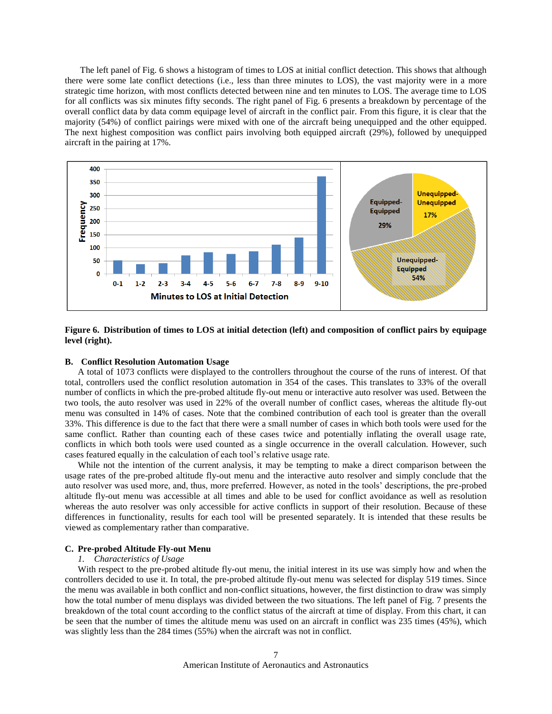The left panel of Fig. 6 shows a histogram of times to LOS at initial conflict detection. This shows that although there were some late conflict detections (i.e., less than three minutes to LOS), the vast majority were in a more strategic time horizon, with most conflicts detected between nine and ten minutes to LOS. The average time to LOS for all conflicts was six minutes fifty seconds. The right panel of Fig. 6 presents a breakdown by percentage of the overall conflict data by data comm equipage level of aircraft in the conflict pair. From this figure, it is clear that the majority (54%) of conflict pairings were mixed with one of the aircraft being unequipped and the other equipped. The next highest composition was conflict pairs involving both equipped aircraft (29%), followed by unequipped aircraft in the pairing at 17%.



# **Figure 6. Distribution of times to LOS at initial detection (left) and composition of conflict pairs by equipage level (right).**

#### **B. Conflict Resolution Automation Usage**

A total of 1073 conflicts were displayed to the controllers throughout the course of the runs of interest. Of that total, controllers used the conflict resolution automation in 354 of the cases. This translates to 33% of the overall number of conflicts in which the pre-probed altitude fly-out menu or interactive auto resolver was used. Between the two tools, the auto resolver was used in 22% of the overall number of conflict cases, whereas the altitude fly-out menu was consulted in 14% of cases. Note that the combined contribution of each tool is greater than the overall 33%. This difference is due to the fact that there were a small number of cases in which both tools were used for the same conflict. Rather than counting each of these cases twice and potentially inflating the overall usage rate, conflicts in which both tools were used counted as a single occurrence in the overall calculation. However, such cases featured equally in the calculation of each tool's relative usage rate.

While not the intention of the current analysis, it may be tempting to make a direct comparison between the usage rates of the pre-probed altitude fly-out menu and the interactive auto resolver and simply conclude that the auto resolver was used more, and, thus, more preferred. However, as noted in the tools' descriptions, the pre-probed altitude fly-out menu was accessible at all times and able to be used for conflict avoidance as well as resolution whereas the auto resolver was only accessible for active conflicts in support of their resolution. Because of these differences in functionality, results for each tool will be presented separately. It is intended that these results be viewed as complementary rather than comparative.

# **C. Pre-probed Altitude Fly-out Menu**

#### *1. Characteristics of Usage*

With respect to the pre-probed altitude fly-out menu, the initial interest in its use was simply how and when the controllers decided to use it. In total, the pre-probed altitude fly-out menu was selected for display 519 times. Since the menu was available in both conflict and non-conflict situations, however, the first distinction to draw was simply how the total number of menu displays was divided between the two situations. The left panel of Fig. 7 presents the breakdown of the total count according to the conflict status of the aircraft at time of display. From this chart, it can be seen that the number of times the altitude menu was used on an aircraft in conflict was 235 times (45%), which was slightly less than the 284 times (55%) when the aircraft was not in conflict.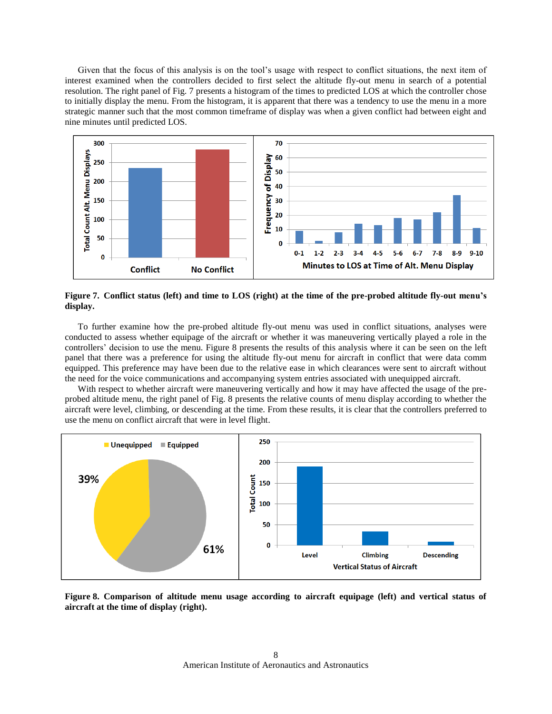Given that the focus of this analysis is on the tool's usage with respect to conflict situations, the next item of interest examined when the controllers decided to first select the altitude fly-out menu in search of a potential resolution. The right panel of Fig. 7 presents a histogram of the times to predicted LOS at which the controller chose to initially display the menu. From the histogram, it is apparent that there was a tendency to use the menu in a more strategic manner such that the most common timeframe of display was when a given conflict had between eight and nine minutes until predicted LOS.



**Figure 7. Conflict status (left) and time to LOS (right) at the time of the pre-probed altitude fly-out menu's display.**

To further examine how the pre-probed altitude fly-out menu was used in conflict situations, analyses were conducted to assess whether equipage of the aircraft or whether it was maneuvering vertically played a role in the controllers' decision to use the menu. Figure 8 presents the results of this analysis where it can be seen on the left panel that there was a preference for using the altitude fly-out menu for aircraft in conflict that were data comm equipped. This preference may have been due to the relative ease in which clearances were sent to aircraft without the need for the voice communications and accompanying system entries associated with unequipped aircraft.

With respect to whether aircraft were maneuvering vertically and how it may have affected the usage of the preprobed altitude menu, the right panel of Fig. 8 presents the relative counts of menu display according to whether the aircraft were level, climbing, or descending at the time. From these results, it is clear that the controllers preferred to use the menu on conflict aircraft that were in level flight.



**Figure 8. Comparison of altitude menu usage according to aircraft equipage (left) and vertical status of aircraft at the time of display (right).**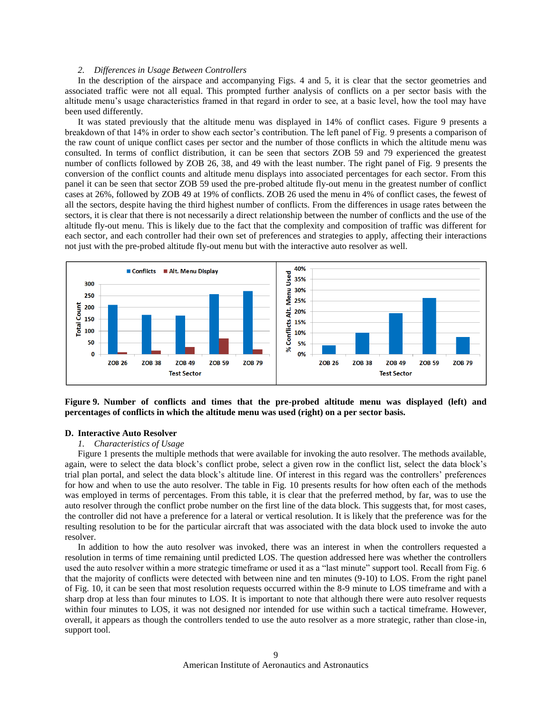#### *2. Differences in Usage Between Controllers*

In the description of the airspace and accompanying Figs. 4 and 5, it is clear that the sector geometries and associated traffic were not all equal. This prompted further analysis of conflicts on a per sector basis with the altitude menu's usage characteristics framed in that regard in order to see, at a basic level, how the tool may have been used differently.

It was stated previously that the altitude menu was displayed in 14% of conflict cases. Figure 9 presents a breakdown of that 14% in order to show each sector's contribution. The left panel of Fig. 9 presents a comparison of the raw count of unique conflict cases per sector and the number of those conflicts in which the altitude menu was consulted. In terms of conflict distribution, it can be seen that sectors ZOB 59 and 79 experienced the greatest number of conflicts followed by ZOB 26, 38, and 49 with the least number. The right panel of Fig. 9 presents the conversion of the conflict counts and altitude menu displays into associated percentages for each sector. From this panel it can be seen that sector ZOB 59 used the pre-probed altitude fly-out menu in the greatest number of conflict cases at 26%, followed by ZOB 49 at 19% of conflicts. ZOB 26 used the menu in 4% of conflict cases, the fewest of all the sectors, despite having the third highest number of conflicts. From the differences in usage rates between the sectors, it is clear that there is not necessarily a direct relationship between the number of conflicts and the use of the altitude fly-out menu. This is likely due to the fact that the complexity and composition of traffic was different for each sector, and each controller had their own set of preferences and strategies to apply, affecting their interactions not just with the pre-probed altitude fly-out menu but with the interactive auto resolver as well.



**Figure 9. Number of conflicts and times that the pre-probed altitude menu was displayed (left) and percentages of conflicts in which the altitude menu was used (right) on a per sector basis.**

#### **D. Interactive Auto Resolver**

# *1. Characteristics of Usage*

Figure 1 presents the multiple methods that were available for invoking the auto resolver. The methods available, again, were to select the data block's conflict probe, select a given row in the conflict list, select the data block's trial plan portal, and select the data block's altitude line. Of interest in this regard was the controllers' preferences for how and when to use the auto resolver. The table in Fig. 10 presents results for how often each of the methods was employed in terms of percentages. From this table, it is clear that the preferred method, by far, was to use the auto resolver through the conflict probe number on the first line of the data block. This suggests that, for most cases, the controller did not have a preference for a lateral or vertical resolution. It is likely that the preference was for the resulting resolution to be for the particular aircraft that was associated with the data block used to invoke the auto resolver.

In addition to how the auto resolver was invoked, there was an interest in when the controllers requested a resolution in terms of time remaining until predicted LOS. The question addressed here was whether the controllers used the auto resolver within a more strategic timeframe or used it as a "last minute" support tool. Recall from Fig. 6 that the majority of conflicts were detected with between nine and ten minutes (9-10) to LOS. From the right panel of Fig. 10, it can be seen that most resolution requests occurred within the 8-9 minute to LOS timeframe and with a sharp drop at less than four minutes to LOS. It is important to note that although there were auto resolver requests within four minutes to LOS, it was not designed nor intended for use within such a tactical timeframe. However, overall, it appears as though the controllers tended to use the auto resolver as a more strategic, rather than close-in, support tool.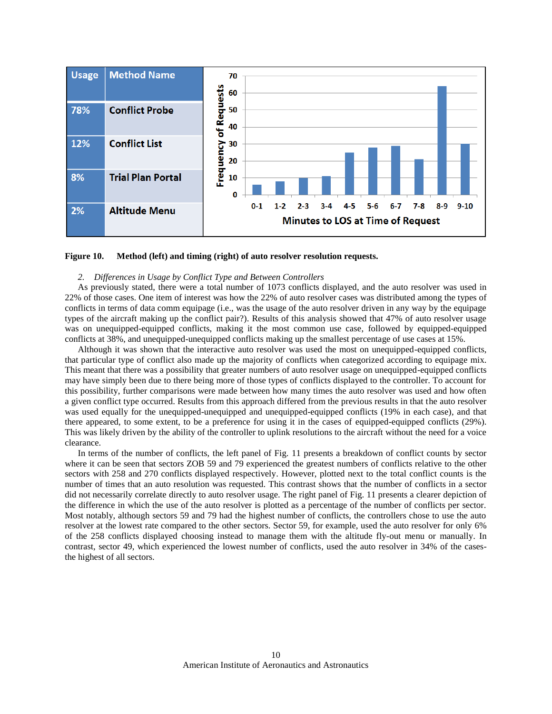

#### **Figure 10. Method (left) and timing (right) of auto resolver resolution requests.**

# *2. Differences in Usage by Conflict Type and Between Controllers*

As previously stated, there were a total number of 1073 conflicts displayed, and the auto resolver was used in 22% of those cases. One item of interest was how the 22% of auto resolver cases was distributed among the types of conflicts in terms of data comm equipage (i.e., was the usage of the auto resolver driven in any way by the equipage types of the aircraft making up the conflict pair?). Results of this analysis showed that 47% of auto resolver usage was on unequipped-equipped conflicts, making it the most common use case, followed by equipped-equipped conflicts at 38%, and unequipped-unequipped conflicts making up the smallest percentage of use cases at 15%.

Although it was shown that the interactive auto resolver was used the most on unequipped-equipped conflicts, that particular type of conflict also made up the majority of conflicts when categorized according to equipage mix. This meant that there was a possibility that greater numbers of auto resolver usage on unequipped-equipped conflicts may have simply been due to there being more of those types of conflicts displayed to the controller. To account for this possibility, further comparisons were made between how many times the auto resolver was used and how often a given conflict type occurred. Results from this approach differed from the previous results in that the auto resolver was used equally for the unequipped-unequipped and unequipped-equipped conflicts (19% in each case), and that there appeared, to some extent, to be a preference for using it in the cases of equipped-equipped conflicts (29%). This was likely driven by the ability of the controller to uplink resolutions to the aircraft without the need for a voice clearance.

In terms of the number of conflicts, the left panel of Fig. 11 presents a breakdown of conflict counts by sector where it can be seen that sectors ZOB 59 and 79 experienced the greatest numbers of conflicts relative to the other sectors with 258 and 270 conflicts displayed respectively. However, plotted next to the total conflict counts is the number of times that an auto resolution was requested. This contrast shows that the number of conflicts in a sector did not necessarily correlate directly to auto resolver usage. The right panel of Fig. 11 presents a clearer depiction of the difference in which the use of the auto resolver is plotted as a percentage of the number of conflicts per sector. Most notably, although sectors 59 and 79 had the highest number of conflicts, the controllers chose to use the auto resolver at the lowest rate compared to the other sectors. Sector 59, for example, used the auto resolver for only 6% of the 258 conflicts displayed choosing instead to manage them with the altitude fly-out menu or manually. In contrast, sector 49, which experienced the lowest number of conflicts, used the auto resolver in 34% of the casesthe highest of all sectors.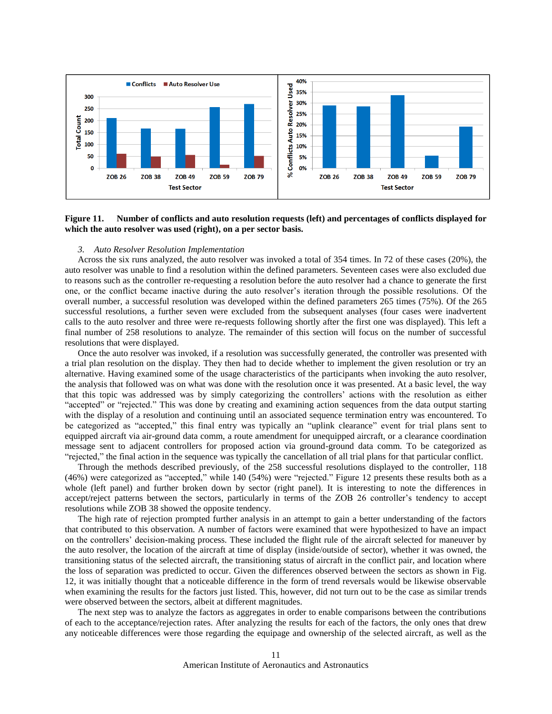

# **Figure 11. Number of conflicts and auto resolution requests (left) and percentages of conflicts displayed for which the auto resolver was used (right), on a per sector basis.**

#### *3. Auto Resolver Resolution Implementation*

Across the six runs analyzed, the auto resolver was invoked a total of 354 times. In 72 of these cases (20%), the auto resolver was unable to find a resolution within the defined parameters. Seventeen cases were also excluded due to reasons such as the controller re-requesting a resolution before the auto resolver had a chance to generate the first one, or the conflict became inactive during the auto resolver's iteration through the possible resolutions. Of the overall number, a successful resolution was developed within the defined parameters 265 times (75%). Of the 265 successful resolutions, a further seven were excluded from the subsequent analyses (four cases were inadvertent calls to the auto resolver and three were re-requests following shortly after the first one was displayed). This left a final number of 258 resolutions to analyze. The remainder of this section will focus on the number of successful resolutions that were displayed.

Once the auto resolver was invoked, if a resolution was successfully generated, the controller was presented with a trial plan resolution on the display. They then had to decide whether to implement the given resolution or try an alternative. Having examined some of the usage characteristics of the participants when invoking the auto resolver, the analysis that followed was on what was done with the resolution once it was presented. At a basic level, the way that this topic was addressed was by simply categorizing the controllers' actions with the resolution as either "accepted" or "rejected." This was done by creating and examining action sequences from the data output starting with the display of a resolution and continuing until an associated sequence termination entry was encountered. To be categorized as "accepted," this final entry was typically an "uplink clearance" event for trial plans sent to equipped aircraft via air-ground data comm, a route amendment for unequipped aircraft, or a clearance coordination message sent to adjacent controllers for proposed action via ground-ground data comm. To be categorized as "rejected," the final action in the sequence was typically the cancellation of all trial plans for that particular conflict.

Through the methods described previously, of the 258 successful resolutions displayed to the controller, 118 (46%) were categorized as "accepted," while 140 (54%) were "rejected." Figure 12 presents these results both as a whole (left panel) and further broken down by sector (right panel). It is interesting to note the differences in accept/reject patterns between the sectors, particularly in terms of the ZOB 26 controller's tendency to accept resolutions while ZOB 38 showed the opposite tendency.

The high rate of rejection prompted further analysis in an attempt to gain a better understanding of the factors that contributed to this observation. A number of factors were examined that were hypothesized to have an impact on the controllers' decision-making process. These included the flight rule of the aircraft selected for maneuver by the auto resolver, the location of the aircraft at time of display (inside/outside of sector), whether it was owned, the transitioning status of the selected aircraft, the transitioning status of aircraft in the conflict pair, and location where the loss of separation was predicted to occur. Given the differences observed between the sectors as shown in Fig. 12, it was initially thought that a noticeable difference in the form of trend reversals would be likewise observable when examining the results for the factors just listed. This, however, did not turn out to be the case as similar trends were observed between the sectors, albeit at different magnitudes.

The next step was to analyze the factors as aggregates in order to enable comparisons between the contributions of each to the acceptance/rejection rates. After analyzing the results for each of the factors, the only ones that drew any noticeable differences were those regarding the equipage and ownership of the selected aircraft, as well as the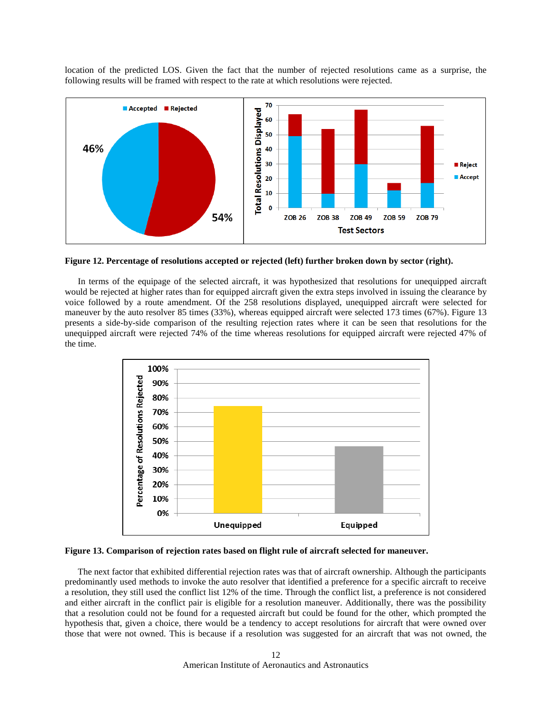location of the predicted LOS. Given the fact that the number of rejected resolutions came as a surprise, the following results will be framed with respect to the rate at which resolutions were rejected.



**Figure 12. Percentage of resolutions accepted or rejected (left) further broken down by sector (right).**

In terms of the equipage of the selected aircraft, it was hypothesized that resolutions for unequipped aircraft would be rejected at higher rates than for equipped aircraft given the extra steps involved in issuing the clearance by voice followed by a route amendment. Of the 258 resolutions displayed, unequipped aircraft were selected for maneuver by the auto resolver 85 times (33%), whereas equipped aircraft were selected 173 times (67%). Figure 13 presents a side-by-side comparison of the resulting rejection rates where it can be seen that resolutions for the unequipped aircraft were rejected 74% of the time whereas resolutions for equipped aircraft were rejected 47% of the time.





The next factor that exhibited differential rejection rates was that of aircraft ownership. Although the participants predominantly used methods to invoke the auto resolver that identified a preference for a specific aircraft to receive a resolution, they still used the conflict list 12% of the time. Through the conflict list, a preference is not considered and either aircraft in the conflict pair is eligible for a resolution maneuver. Additionally, there was the possibility that a resolution could not be found for a requested aircraft but could be found for the other, which prompted the hypothesis that, given a choice, there would be a tendency to accept resolutions for aircraft that were owned over those that were not owned. This is because if a resolution was suggested for an aircraft that was not owned, the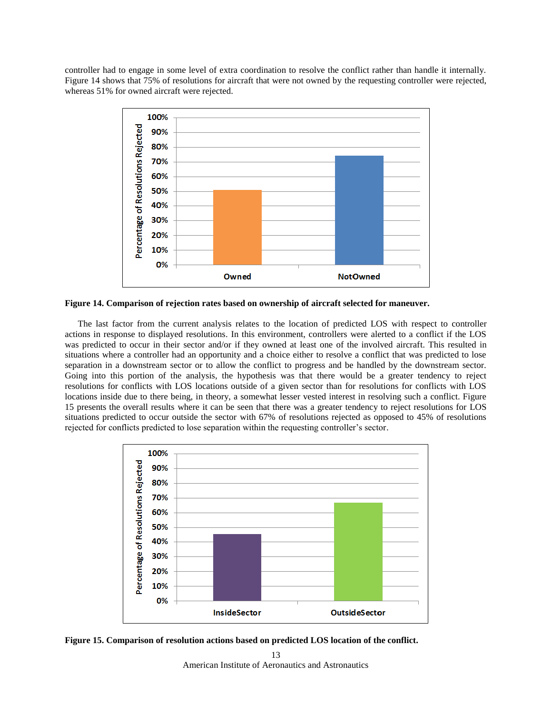controller had to engage in some level of extra coordination to resolve the conflict rather than handle it internally. Figure 14 shows that 75% of resolutions for aircraft that were not owned by the requesting controller were rejected, whereas 51% for owned aircraft were rejected.



**Figure 14. Comparison of rejection rates based on ownership of aircraft selected for maneuver.**

The last factor from the current analysis relates to the location of predicted LOS with respect to controller actions in response to displayed resolutions. In this environment, controllers were alerted to a conflict if the LOS was predicted to occur in their sector and/or if they owned at least one of the involved aircraft. This resulted in situations where a controller had an opportunity and a choice either to resolve a conflict that was predicted to lose separation in a downstream sector or to allow the conflict to progress and be handled by the downstream sector. Going into this portion of the analysis, the hypothesis was that there would be a greater tendency to reject resolutions for conflicts with LOS locations outside of a given sector than for resolutions for conflicts with LOS locations inside due to there being, in theory, a somewhat lesser vested interest in resolving such a conflict. Figure 15 presents the overall results where it can be seen that there was a greater tendency to reject resolutions for LOS situations predicted to occur outside the sector with 67% of resolutions rejected as opposed to 45% of resolutions rejected for conflicts predicted to lose separation within the requesting controller's sector.





American Institute of Aeronautics and Astronautics 13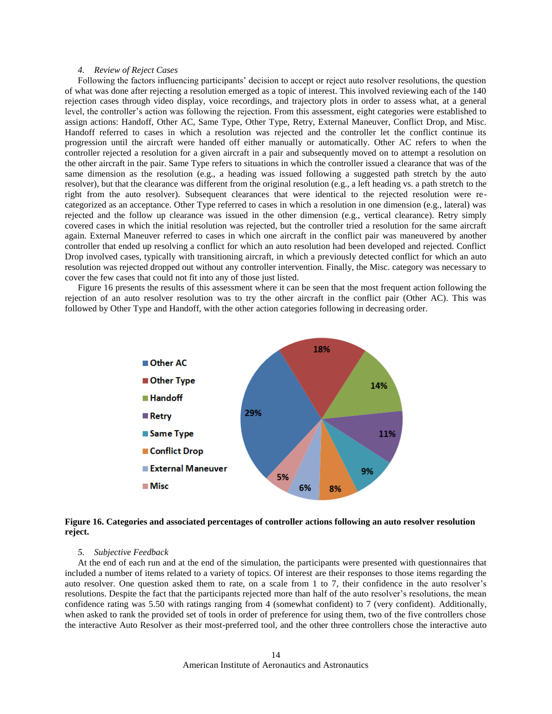#### *4. Review of Reject Cases*

Following the factors influencing participants' decision to accept or reject auto resolver resolutions, the question of what was done after rejecting a resolution emerged as a topic of interest. This involved reviewing each of the 140 rejection cases through video display, voice recordings, and trajectory plots in order to assess what, at a general level, the controller's action was following the rejection. From this assessment, eight categories were established to assign actions: Handoff, Other AC, Same Type, Other Type, Retry, External Maneuver, Conflict Drop, and Misc. Handoff referred to cases in which a resolution was rejected and the controller let the conflict continue its progression until the aircraft were handed off either manually or automatically. Other AC refers to when the controller rejected a resolution for a given aircraft in a pair and subsequently moved on to attempt a resolution on the other aircraft in the pair. Same Type refers to situations in which the controller issued a clearance that was of the same dimension as the resolution (e.g., a heading was issued following a suggested path stretch by the auto resolver), but that the clearance was different from the original resolution (e.g., a left heading vs. a path stretch to the right from the auto resolver). Subsequent clearances that were identical to the rejected resolution were recategorized as an acceptance. Other Type referred to cases in which a resolution in one dimension (e.g., lateral) was rejected and the follow up clearance was issued in the other dimension (e.g., vertical clearance). Retry simply covered cases in which the initial resolution was rejected, but the controller tried a resolution for the same aircraft again. External Maneuver referred to cases in which one aircraft in the conflict pair was maneuvered by another controller that ended up resolving a conflict for which an auto resolution had been developed and rejected. Conflict Drop involved cases, typically with transitioning aircraft, in which a previously detected conflict for which an auto resolution was rejected dropped out without any controller intervention. Finally, the Misc. category was necessary to cover the few cases that could not fit into any of those just listed.

Figure 16 presents the results of this assessment where it can be seen that the most frequent action following the rejection of an auto resolver resolution was to try the other aircraft in the conflict pair (Other AC). This was followed by Other Type and Handoff, with the other action categories following in decreasing order.



## **Figure 16. Categories and associated percentages of controller actions following an auto resolver resolution reject.**

#### *5. Subjective Feedback*

At the end of each run and at the end of the simulation, the participants were presented with questionnaires that included a number of items related to a variety of topics. Of interest are their responses to those items regarding the auto resolver. One question asked them to rate, on a scale from 1 to 7, their confidence in the auto resolver's resolutions. Despite the fact that the participants rejected more than half of the auto resolver's resolutions, the mean confidence rating was 5.50 with ratings ranging from 4 (somewhat confident) to 7 (very confident). Additionally, when asked to rank the provided set of tools in order of preference for using them, two of the five controllers chose the interactive Auto Resolver as their most-preferred tool, and the other three controllers chose the interactive auto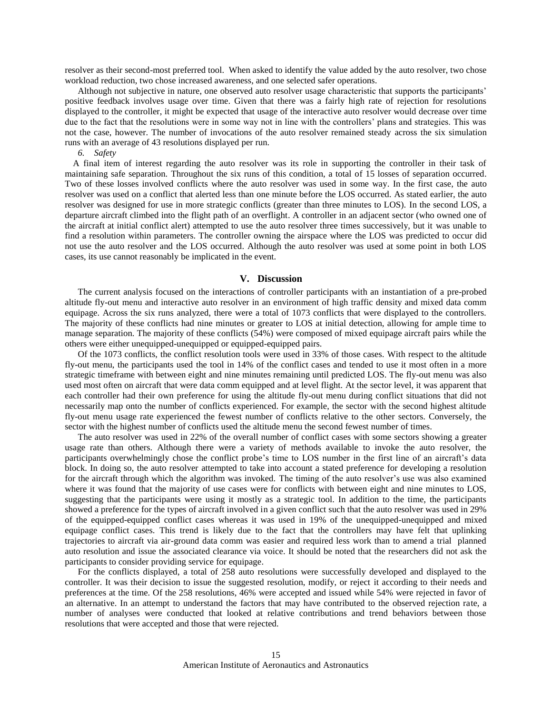resolver as their second-most preferred tool. When asked to identify the value added by the auto resolver, two chose workload reduction, two chose increased awareness, and one selected safer operations.

Although not subjective in nature, one observed auto resolver usage characteristic that supports the participants' positive feedback involves usage over time. Given that there was a fairly high rate of rejection for resolutions displayed to the controller, it might be expected that usage of the interactive auto resolver would decrease over time due to the fact that the resolutions were in some way not in line with the controllers' plans and strategies. This was not the case, however. The number of invocations of the auto resolver remained steady across the six simulation runs with an average of 43 resolutions displayed per run.

*6. Safety*

A final item of interest regarding the auto resolver was its role in supporting the controller in their task of maintaining safe separation. Throughout the six runs of this condition, a total of 15 losses of separation occurred. Two of these losses involved conflicts where the auto resolver was used in some way. In the first case, the auto resolver was used on a conflict that alerted less than one minute before the LOS occurred. As stated earlier, the auto resolver was designed for use in more strategic conflicts (greater than three minutes to LOS). In the second LOS, a departure aircraft climbed into the flight path of an overflight. A controller in an adjacent sector (who owned one of the aircraft at initial conflict alert) attempted to use the auto resolver three times successively, but it was unable to find a resolution within parameters. The controller owning the airspace where the LOS was predicted to occur did not use the auto resolver and the LOS occurred. Although the auto resolver was used at some point in both LOS cases, its use cannot reasonably be implicated in the event.

## **V. Discussion**

The current analysis focused on the interactions of controller participants with an instantiation of a pre-probed altitude fly-out menu and interactive auto resolver in an environment of high traffic density and mixed data comm equipage. Across the six runs analyzed, there were a total of 1073 conflicts that were displayed to the controllers. The majority of these conflicts had nine minutes or greater to LOS at initial detection, allowing for ample time to manage separation. The majority of these conflicts (54%) were composed of mixed equipage aircraft pairs while the others were either unequipped-unequipped or equipped-equipped pairs.

Of the 1073 conflicts, the conflict resolution tools were used in 33% of those cases. With respect to the altitude fly-out menu, the participants used the tool in 14% of the conflict cases and tended to use it most often in a more strategic timeframe with between eight and nine minutes remaining until predicted LOS. The fly-out menu was also used most often on aircraft that were data comm equipped and at level flight. At the sector level, it was apparent that each controller had their own preference for using the altitude fly-out menu during conflict situations that did not necessarily map onto the number of conflicts experienced. For example, the sector with the second highest altitude fly-out menu usage rate experienced the fewest number of conflicts relative to the other sectors. Conversely, the sector with the highest number of conflicts used the altitude menu the second fewest number of times.

The auto resolver was used in 22% of the overall number of conflict cases with some sectors showing a greater usage rate than others. Although there were a variety of methods available to invoke the auto resolver, the participants overwhelmingly chose the conflict probe's time to LOS number in the first line of an aircraft's data block. In doing so, the auto resolver attempted to take into account a stated preference for developing a resolution for the aircraft through which the algorithm was invoked. The timing of the auto resolver's use was also examined where it was found that the majority of use cases were for conflicts with between eight and nine minutes to LOS, suggesting that the participants were using it mostly as a strategic tool. In addition to the time, the participants showed a preference for the types of aircraft involved in a given conflict such that the auto resolver was used in 29% of the equipped-equipped conflict cases whereas it was used in 19% of the unequipped-unequipped and mixed equipage conflict cases. This trend is likely due to the fact that the controllers may have felt that uplinking trajectories to aircraft via air-ground data comm was easier and required less work than to amend a trial planned auto resolution and issue the associated clearance via voice. It should be noted that the researchers did not ask the participants to consider providing service for equipage.

For the conflicts displayed, a total of 258 auto resolutions were successfully developed and displayed to the controller. It was their decision to issue the suggested resolution, modify, or reject it according to their needs and preferences at the time. Of the 258 resolutions, 46% were accepted and issued while 54% were rejected in favor of an alternative. In an attempt to understand the factors that may have contributed to the observed rejection rate, a number of analyses were conducted that looked at relative contributions and trend behaviors between those resolutions that were accepted and those that were rejected.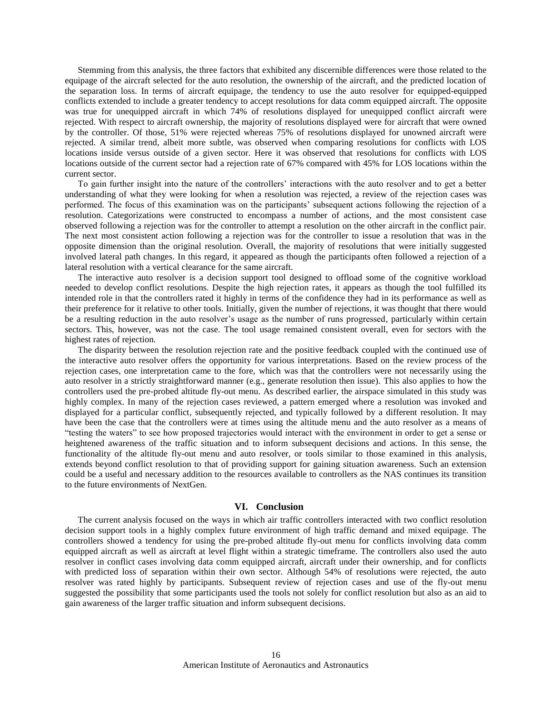Stemming from this analysis, the three factors that exhibited any discernible differences were those related to the equipage of the aircraft selected for the auto resolution, the ownership of the aircraft, and the predicted location of the separation loss. In terms of aircraft equipage, the tendency to use the auto resolver for equipped-equipped conflicts extended to include a greater tendency to accept resolutions for data comm equipped aircraft. The opposite was true for unequipped aircraft in which 74% of resolutions displayed for unequipped conflict aircraft were rejected. With respect to aircraft ownership, the majority of resolutions displayed were for aircraft that were owned by the controller. Of those, 51% were rejected whereas 75% of resolutions displayed for unowned aircraft were rejected. A similar trend, albeit more subtle, was observed when comparing resolutions for conflicts with LOS locations inside versus outside of a given sector. Here it was observed that resolutions for conflicts with LOS locations outside of the current sector had a rejection rate of 67% compared with 45% for LOS locations within the current sector.

To gain further insight into the nature of the controllers' interactions with the auto resolver and to get a better understanding of what they were looking for when a resolution was rejected, a review of the rejection cases was performed. The focus of this examination was on the participants' subsequent actions following the rejection of a resolution. Categorizations were constructed to encompass a number of actions, and the most consistent case observed following a rejection was for the controller to attempt a resolution on the other aircraft in the conflict pair. The next most consistent action following a rejection was for the controller to issue a resolution that was in the opposite dimension than the original resolution. Overall, the majority of resolutions that were initially suggested involved lateral path changes. In this regard, it appeared as though the participants often followed a rejection of a lateral resolution with a vertical clearance for the same aircraft.

The interactive auto resolver is a decision support tool designed to offload some of the cognitive workload needed to develop conflict resolutions. Despite the high rejection rates, it appears as though the tool fulfilled its intended role in that the controllers rated it highly in terms of the confidence they had in its performance as well as their preference for it relative to other tools. Initially, given the number of rejections, it was thought that there would be a resulting reduction in the auto resolver's usage as the number of runs progressed, particularly within certain sectors. This, however, was not the case. The tool usage remained consistent overall, even for sectors with the highest rates of rejection.

The disparity between the resolution rejection rate and the positive feedback coupled with the continued use of the interactive auto resolver offers the opportunity for various interpretations. Based on the review process of the rejection cases, one interpretation came to the fore, which was that the controllers were not necessarily using the auto resolver in a strictly straightforward manner (e.g., generate resolution then issue). This also applies to how the controllers used the pre-probed altitude fly-out menu. As described earlier, the airspace simulated in this study was highly complex. In many of the rejection cases reviewed, a pattern emerged where a resolution was invoked and displayed for a particular conflict, subsequently rejected, and typically followed by a different resolution. It may have been the case that the controllers were at times using the altitude menu and the auto resolver as a means of "testing the waters" to see how proposed trajectories would interact with the environment in order to get a sense or heightened awareness of the traffic situation and to inform subsequent decisions and actions. In this sense, the functionality of the altitude fly-out menu and auto resolver, or tools similar to those examined in this analysis, extends beyond conflict resolution to that of providing support for gaining situation awareness. Such an extension could be a useful and necessary addition to the resources available to controllers as the NAS continues its transition to the future environments of NextGen.

## **VI. Conclusion**

The current analysis focused on the ways in which air traffic controllers interacted with two conflict resolution decision support tools in a highly complex future environment of high traffic demand and mixed equipage. The controllers showed a tendency for using the pre-probed altitude fly-out menu for conflicts involving data comm equipped aircraft as well as aircraft at level flight within a strategic timeframe. The controllers also used the auto resolver in conflict cases involving data comm equipped aircraft, aircraft under their ownership, and for conflicts with predicted loss of separation within their own sector. Although 54% of resolutions were rejected, the auto resolver was rated highly by participants. Subsequent review of rejection cases and use of the fly-out menu suggested the possibility that some participants used the tools not solely for conflict resolution but also as an aid to gain awareness of the larger traffic situation and inform subsequent decisions.